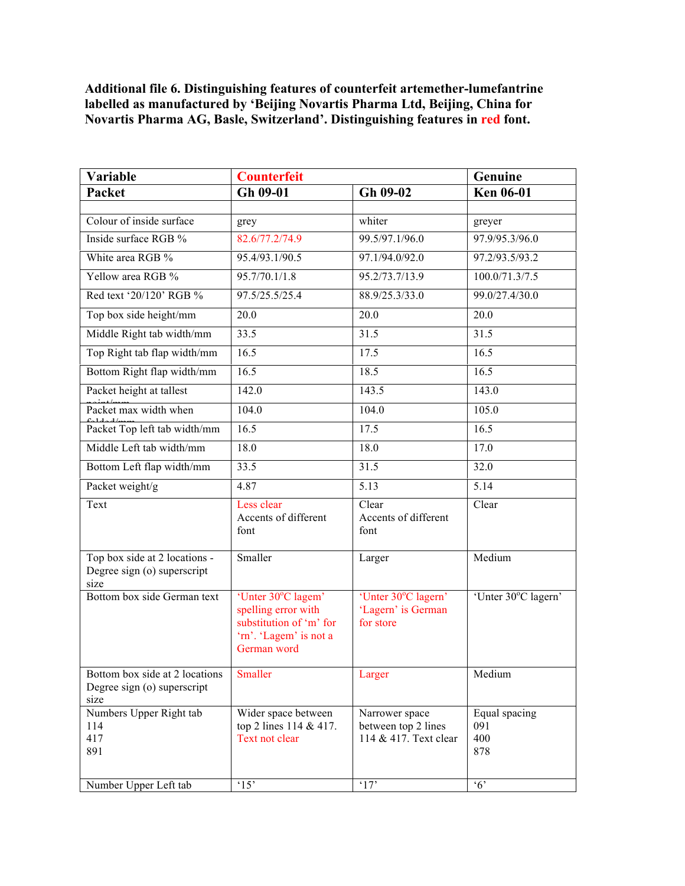**Additional file 6. Distinguishing features of counterfeit artemether-lumefantrine labelled as manufactured by 'Beijing Novartis Pharma Ltd, Beijing, China for Novartis Pharma AG, Basle, Switzerland'. Distinguishing features in red font.** 

| Variable                                                              | <b>Counterfeit</b>                                                                                            |                                                                | Genuine                            |
|-----------------------------------------------------------------------|---------------------------------------------------------------------------------------------------------------|----------------------------------------------------------------|------------------------------------|
| Packet                                                                | Gh 09-01                                                                                                      | Gh 09-02                                                       | <b>Ken 06-01</b>                   |
|                                                                       |                                                                                                               |                                                                |                                    |
| Colour of inside surface                                              | grey                                                                                                          | whiter                                                         | greyer                             |
| Inside surface RGB %                                                  | 82.6/77.2/74.9                                                                                                | 99.5/97.1/96.0                                                 | 97.9/95.3/96.0                     |
| White area RGB %                                                      | 95.4/93.1/90.5                                                                                                | 97.1/94.0/92.0                                                 | 97.2/93.5/93.2                     |
| Yellow area RGB %                                                     | 95.7/70.1/1.8                                                                                                 | 95.2/73.7/13.9                                                 | 100.0/71.3/7.5                     |
| Red text '20/120' RGB %                                               | 97.5/25.5/25.4                                                                                                | 88.9/25.3/33.0                                                 | 99.0/27.4/30.0                     |
| Top box side height/mm                                                | 20.0                                                                                                          | 20.0                                                           | 20.0                               |
| Middle Right tab width/mm                                             | 33.5                                                                                                          | 31.5                                                           | 31.5                               |
| Top Right tab flap width/mm                                           | 16.5                                                                                                          | 17.5                                                           | 16.5                               |
| Bottom Right flap width/mm                                            | 16.5                                                                                                          | 18.5                                                           | 16.5                               |
| Packet height at tallest                                              | 142.0                                                                                                         | 143.5                                                          | 143.0                              |
| Packet max width when                                                 | 104.0                                                                                                         | 104.0                                                          | 105.0                              |
| Packet Top left tab width/mm                                          | 16.5                                                                                                          | 17.5                                                           | 16.5                               |
| Middle Left tab width/mm                                              | 18.0                                                                                                          | 18.0                                                           | $\overline{17.0}$                  |
| Bottom Left flap width/mm                                             | 33.5                                                                                                          | 31.5                                                           | 32.0                               |
| Packet weight/g                                                       | 4.87                                                                                                          | 5.13                                                           | 5.14                               |
| Text                                                                  | Less clear<br>Accents of different<br>font                                                                    | Clear<br>Accents of different<br>font                          | Clear                              |
| Top box side at 2 locations -<br>Degree sign (o) superscript<br>size  | Smaller                                                                                                       | Larger                                                         | Medium                             |
| Bottom box side German text                                           | 'Unter 30°C lagem'<br>spelling error with<br>substitution of 'm' for<br>'rn'. 'Lagem' is not a<br>German word | 'Unter 30°C lagern'<br>'Lagern' is German<br>for store         | 'Unter 30°C lagern'                |
| Bottom box side at 2 locations<br>Degree sign (o) superscript<br>size | Smaller                                                                                                       | Larger                                                         | Medium                             |
| Numbers Upper Right tab<br>114<br>417<br>891                          | Wider space between<br>top 2 lines 114 & 417.<br>Text not clear                                               | Narrower space<br>between top 2 lines<br>114 & 417. Text clear | Equal spacing<br>091<br>400<br>878 |
| Number Upper Left tab                                                 | $^{\circ}15$                                                                                                  | '17'                                                           | $\cdot$ 6'                         |